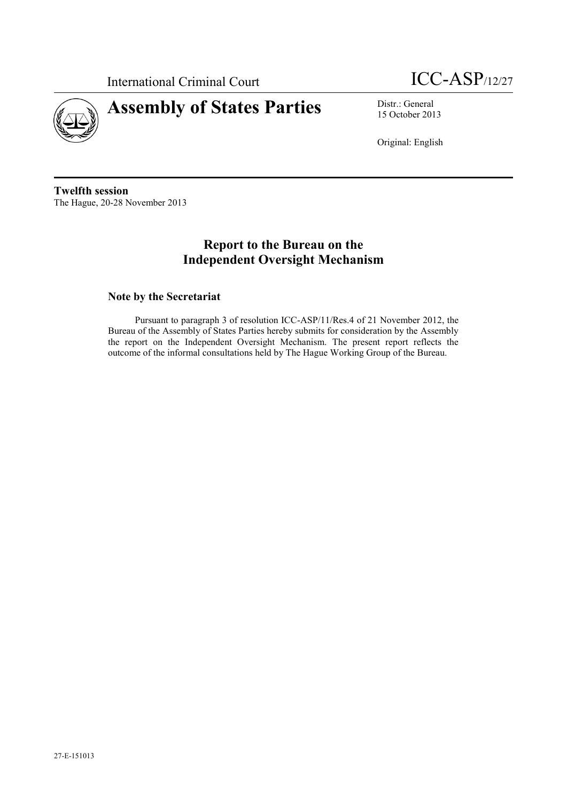

International Criminal Court **ICC-ASP**/12/27



15 October 2013

Original: English

**Twelfth session** The Hague, 20-28 November 2013

# **Report to the Bureau on the Independent Oversight Mechanism**

## **Note by the Secretariat**

Pursuant to paragraph 3 of resolution ICC-ASP/11/Res.4 of 21 November 2012, the Bureau of the Assembly of States Parties hereby submits for consideration by the Assembly the report on the Independent Oversight Mechanism. The present report reflects the outcome of the informal consultations held by The Hague Working Group of the Bureau.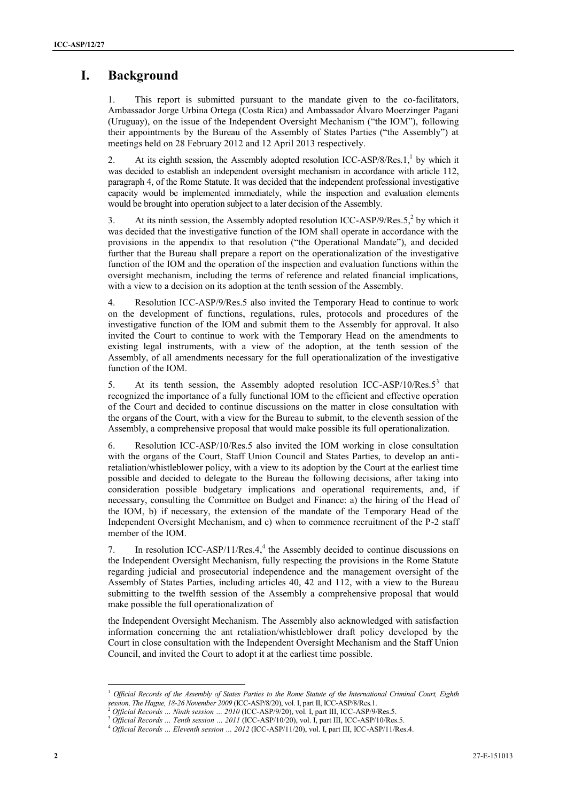# **I. Background**

This report is submitted pursuant to the mandate given to the co-facilitators, Ambassador Jorge Urbina Ortega (Costa Rica) and Ambassador Álvaro Moerzinger Pagani (Uruguay), on the issue of the Independent Oversight Mechanism ("the IOM"), following their appointments by the Bureau of the Assembly of States Parties ("the Assembly") at meetings held on 28 February 2012 and 12 April 2013 respectively.

2. At its eighth session, the Assembly adopted resolution ICC-ASP/8/Res.1, $<sup>1</sup>$  by which it</sup> was decided to establish an independent oversight mechanism in accordance with article 112, paragraph 4, of the Rome Statute. It was decided that the independent professional investigative capacity would be implemented immediately, while the inspection and evaluation elements would be brought into operation subject to a later decision of the Assembly.

3. At its ninth session, the Assembly adopted resolution ICC-ASP/9/Res.5, $^2$  by which it was decided that the investigative function of the IOM shall operate in accordance with the provisions in the appendix to that resolution ("the Operational Mandate"), and decided further that the Bureau shall prepare a report on the operationalization of the investigative function of the IOM and the operation of the inspection and evaluation functions within the oversight mechanism, including the terms of reference and related financial implications, with a view to a decision on its adoption at the tenth session of the Assembly.

4. Resolution ICC-ASP/9/Res.5 also invited the Temporary Head to continue to work on the development of functions, regulations, rules, protocols and procedures of the investigative function of the IOM and submit them to the Assembly for approval. It also invited the Court to continue to work with the Temporary Head on the amendments to existing legal instruments, with a view of the adoption, at the tenth session of the Assembly, of all amendments necessary for the full operationalization of the investigative function of the IOM.

5. At its tenth session, the Assembly adopted resolution ICC-ASP/10/Res. $5^3$  that recognized the importance of a fully functional IOM to the efficient and effective operation of the Court and decided to continue discussions on the matter in close consultation with the organs of the Court, with a view for the Bureau to submit, to the eleventh session of the Assembly, a comprehensive proposal that would make possible its full operationalization.

6. Resolution ICC-ASP/10/Res.5 also invited the IOM working in close consultation with the organs of the Court, Staff Union Council and States Parties, to develop an antiretaliation/whistleblower policy, with a view to its adoption by the Court at the earliest time possible and decided to delegate to the Bureau the following decisions, after taking into consideration possible budgetary implications and operational requirements, and, if necessary, consulting the Committee on Budget and Finance: a) the hiring of the Head of the IOM, b) if necessary, the extension of the mandate of the Temporary Head of the Independent Oversight Mechanism, and c) when to commence recruitment of the P-2 staff member of the IOM.

7. In resolution ICC-ASP/11/Res.4, 4 the Assembly decided to continue discussions on the Independent Oversight Mechanism, fully respecting the provisions in the Rome Statute regarding judicial and prosecutorial independence and the management oversight of the Assembly of States Parties, including articles 40, 42 and 112, with a view to the Bureau submitting to the twelfth session of the Assembly a comprehensive proposal that would make possible the full operationalization of

the Independent Oversight Mechanism. The Assembly also acknowledged with satisfaction information concerning the ant retaliation/whistleblower draft policy developed by the Court in close consultation with the Independent Oversight Mechanism and the Staff Union Council, and invited the Court to adopt it at the earliest time possible.

<sup>&</sup>lt;sup>1</sup> Official Records of the Assembly of States Parties to the Rome Statute of the International Criminal Court, Eighth *session, The Hague, 18-26 November 2009* (ICC-ASP/8/20), vol. I, part II, ICC-ASP/8/Res.1.

<sup>2</sup> *Official Records … Ninth session … 2010* (ICC-ASP/9/20), vol. I, part III, ICC-ASP/9/Res.5.

<sup>3</sup> *Official Records … Tenth session … 2011* (ICC-ASP/10/20), vol. I, part III, ICC-ASP/10/Res.5.

<sup>4</sup> *Official Records … Eleventh session … 2012* (ICC-ASP/11/20), vol. I, part III, ICC-ASP/11/Res.4.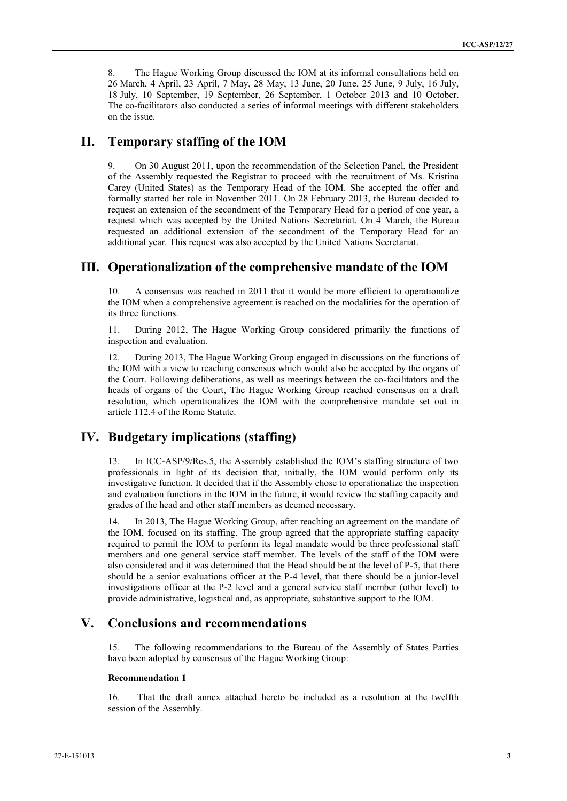8. The Hague Working Group discussed the IOM at its informal consultations held on 26 March, 4 April, 23 April, 7 May, 28 May, 13 June, 20 June, 25 June, 9 July, 16 July, 18 July, 10 September, 19 September, 26 September, 1 October 2013 and 10 October. The co-facilitators also conducted a series of informal meetings with different stakeholders on the issue.

## **II. Temporary staffing of the IOM**

9. On 30 August 2011, upon the recommendation of the Selection Panel, the President of the Assembly requested the Registrar to proceed with the recruitment of Ms. Kristina Carey (United States) as the Temporary Head of the IOM. She accepted the offer and formally started her role in November 2011. On 28 February 2013, the Bureau decided to request an extension of the secondment of the Temporary Head for a period of one year, a request which was accepted by the United Nations Secretariat. On 4 March, the Bureau requested an additional extension of the secondment of the Temporary Head for an additional year. This request was also accepted by the United Nations Secretariat.

## **III. Operationalization of the comprehensive mandate of the IOM**

10. A consensus was reached in 2011 that it would be more efficient to operationalize the IOM when a comprehensive agreement is reached on the modalities for the operation of its three functions.

11. During 2012, The Hague Working Group considered primarily the functions of inspection and evaluation.

12. During 2013, The Hague Working Group engaged in discussions on the functions of the IOM with a view to reaching consensus which would also be accepted by the organs of the Court. Following deliberations, as well as meetings between the co-facilitators and the heads of organs of the Court, The Hague Working Group reached consensus on a draft resolution, which operationalizes the IOM with the comprehensive mandate set out in article 112.4 of the Rome Statute.

## **IV. Budgetary implications (staffing)**

13. In ICC-ASP/9/Res.5, the Assembly established the IOM's staffing structure of two professionals in light of its decision that, initially, the IOM would perform only its investigative function. It decided that if the Assembly chose to operationalize the inspection and evaluation functions in the IOM in the future, it would review the staffing capacity and grades of the head and other staff members as deemed necessary.

14. In 2013, The Hague Working Group, after reaching an agreement on the mandate of the IOM, focused on its staffing. The group agreed that the appropriate staffing capacity required to permit the IOM to perform its legal mandate would be three professional staff members and one general service staff member. The levels of the staff of the IOM were also considered and it was determined that the Head should be at the level of P-5, that there should be a senior evaluations officer at the P-4 level, that there should be a junior-level investigations officer at the P-2 level and a general service staff member (other level) to provide administrative, logistical and, as appropriate, substantive support to the IOM.

# **V. Conclusions and recommendations**

15. The following recommendations to the Bureau of the Assembly of States Parties have been adopted by consensus of the Hague Working Group:

#### **Recommendation 1**

16. That the draft annex attached hereto be included as a resolution at the twelfth session of the Assembly.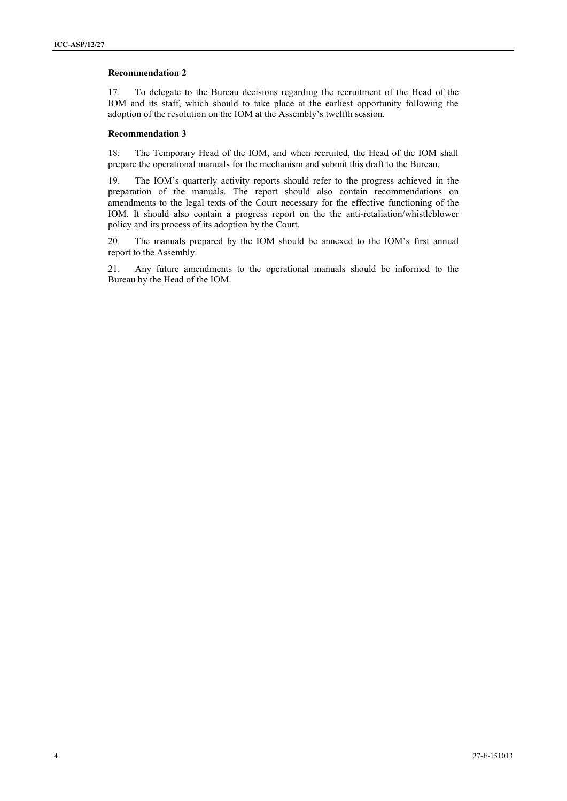#### **Recommendation 2**

17. To delegate to the Bureau decisions regarding the recruitment of the Head of the IOM and its staff, which should to take place at the earliest opportunity following the adoption of the resolution on the IOM at the Assembly's twelfth session.

#### **Recommendation 3**

18. The Temporary Head of the IOM, and when recruited, the Head of the IOM shall prepare the operational manuals for the mechanism and submit this draft to the Bureau.

19. The IOM's quarterly activity reports should refer to the progress achieved in the preparation of the manuals. The report should also contain recommendations on amendments to the legal texts of the Court necessary for the effective functioning of the IOM. It should also contain a progress report on the the anti-retaliation/whistleblower policy and its process of its adoption by the Court.

20. The manuals prepared by the IOM should be annexed to the IOM's first annual report to the Assembly.

21. Any future amendments to the operational manuals should be informed to the Bureau by the Head of the IOM.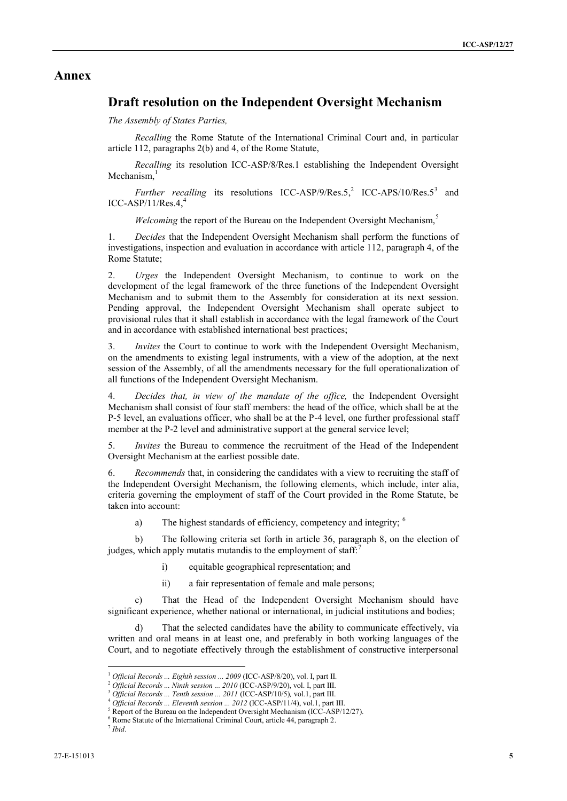### **Annex**

## **Draft resolution on the Independent Oversight Mechanism**

*The Assembly of States Parties,*

*Recalling* the Rome Statute of the International Criminal Court and, in particular article 112, paragraphs 2(b) and 4, of the Rome Statute,

*Recalling* its resolution ICC-ASP/8/Res.1 establishing the Independent Oversight Mechanism,

*Further recalling* its resolutions ICC-ASP/9/Res.5,<sup>2</sup> ICC-APS/10/Res.5<sup>3</sup> and  $ICC-ASP/11/Res.4,$ <sup>4</sup>

*Welcoming* the report of the Bureau on the Independent Oversight Mechanism,<sup>5</sup>

1. *Decides* that the Independent Oversight Mechanism shall perform the functions of investigations, inspection and evaluation in accordance with article 112, paragraph 4, of the Rome Statute;

2. *Urges* the Independent Oversight Mechanism, to continue to work on the development of the legal framework of the three functions of the Independent Oversight Mechanism and to submit them to the Assembly for consideration at its next session. Pending approval, the Independent Oversight Mechanism shall operate subject to provisional rules that it shall establish in accordance with the legal framework of the Court and in accordance with established international best practices;

3. *Invites* the Court to continue to work with the Independent Oversight Mechanism, on the amendments to existing legal instruments, with a view of the adoption, at the next session of the Assembly, of all the amendments necessary for the full operationalization of all functions of the Independent Oversight Mechanism.

4. *Decides that, in view of the mandate of the office,* the Independent Oversight Mechanism shall consist of four staff members: the head of the office, which shall be at the P-5 level, an evaluations officer, who shall be at the P-4 level, one further professional staff member at the P-2 level and administrative support at the general service level;

5. *Invites* the Bureau to commence the recruitment of the Head of the Independent Oversight Mechanism at the earliest possible date.

6. *Recommends* that, in considering the candidates with a view to recruiting the staff of the Independent Oversight Mechanism, the following elements, which include, inter alia, criteria governing the employment of staff of the Court provided in the Rome Statute, be taken into account:

a) The highest standards of efficiency, competency and integrity; <sup>6</sup>

b) The following criteria set forth in article 36, paragraph 8, on the election of judges, which apply mutatis mutandis to the employment of staff:

- i) equitable geographical representation; and
- ii) a fair representation of female and male persons;

That the Head of the Independent Oversight Mechanism should have significant experience, whether national or international, in judicial institutions and bodies;

d) That the selected candidates have the ability to communicate effectively, via written and oral means in at least one, and preferably in both working languages of the Court, and to negotiate effectively through the establishment of constructive interpersonal

<sup>1</sup> *Official Records ... Eighth session ... 2009* (ICC-ASP/8/20), vol. I, part II.

<sup>2</sup> *Official Records ... Ninth session ... 2010* (ICC-ASP/9/20), vol. I, part III.

<sup>3</sup> *Official Records ... Tenth session ... 2011* (ICC-ASP/10/5)*,* vol.1, part III.

<sup>4</sup> *Official Records ... Eleventh session ... 2012* (ICC-ASP/11/4), vol.1, part III.

<sup>&</sup>lt;sup>5</sup> Report of the Bureau on the Independent Oversight Mechanism (ICC-ASP/12/27).

<sup>6</sup> Rome Statute of the International Criminal Court, article 44, paragraph 2.

<sup>7</sup> *Ibid*.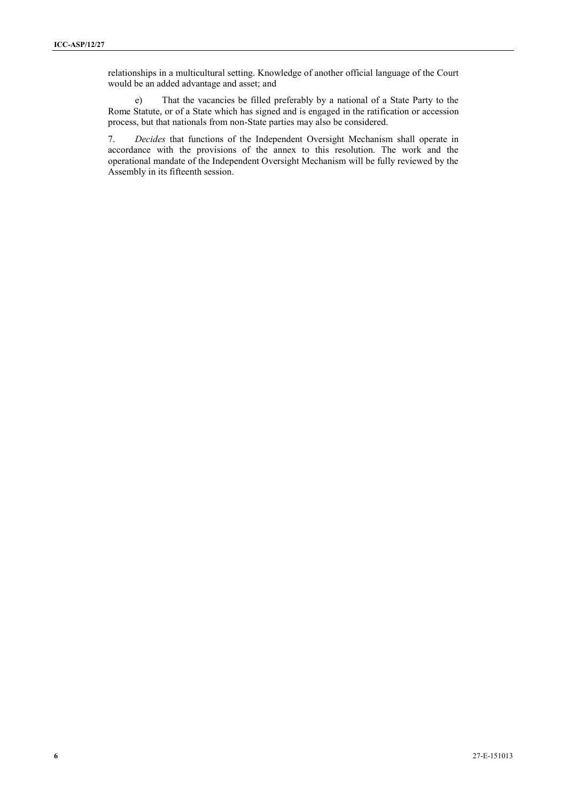relationships in a multicultural setting. Knowledge of another official language of the Court would be an added advantage and asset; and

e) That the vacancies be filled preferably by a national of a State Party to the Rome Statute, or of a State which has signed and is engaged in the ratification or accession process, but that nationals from non-State parties may also be considered.

7. *Decides* that functions of the Independent Oversight Mechanism shall operate in accordance with the provisions of the annex to this resolution. The work and the operational mandate of the Independent Oversight Mechanism will be fully reviewed by the Assembly in its fifteenth session.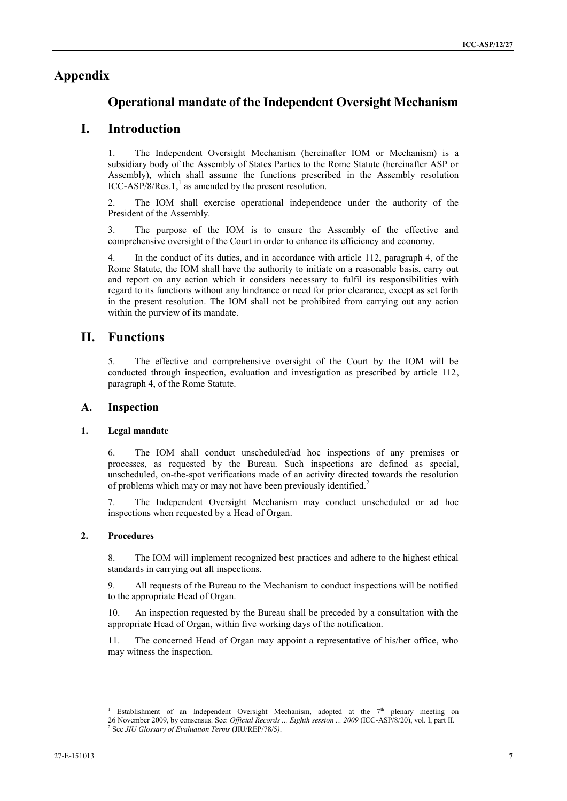## **Appendix**

## **Operational mandate of the Independent Oversight Mechanism**

## **I. Introduction**

1. The Independent Oversight Mechanism (hereinafter IOM or Mechanism) is a subsidiary body of the Assembly of States Parties to the Rome Statute (hereinafter ASP or Assembly), which shall assume the functions prescribed in the Assembly resolution  $ICC-ASP/8/Res.1$ ,<sup>1</sup> as amended by the present resolution.

2. The IOM shall exercise operational independence under the authority of the President of the Assembly.

3. The purpose of the IOM is to ensure the Assembly of the effective and comprehensive oversight of the Court in order to enhance its efficiency and economy.

4. In the conduct of its duties, and in accordance with article 112, paragraph 4, of the Rome Statute, the IOM shall have the authority to initiate on a reasonable basis, carry out and report on any action which it considers necessary to fulfil its responsibilities with regard to its functions without any hindrance or need for prior clearance, except as set forth in the present resolution. The IOM shall not be prohibited from carrying out any action within the purview of its mandate.

## **II. Functions**

5. The effective and comprehensive oversight of the Court by the IOM will be conducted through inspection, evaluation and investigation as prescribed by article 112, paragraph 4, of the Rome Statute.

### **A. Inspection**

### **1. Legal mandate**

6. The IOM shall conduct unscheduled/ad hoc inspections of any premises or processes, as requested by the Bureau. Such inspections are defined as special, unscheduled, on-the-spot verifications made of an activity directed towards the resolution of problems which may or may not have been previously identified.<sup>2</sup>

7. The Independent Oversight Mechanism may conduct unscheduled or ad hoc inspections when requested by a Head of Organ.

#### **2. Procedures**

 $\overline{a}$ 

8. The IOM will implement recognized best practices and adhere to the highest ethical standards in carrying out all inspections.

9. All requests of the Bureau to the Mechanism to conduct inspections will be notified to the appropriate Head of Organ.

10. An inspection requested by the Bureau shall be preceded by a consultation with the appropriate Head of Organ, within five working days of the notification.

11. The concerned Head of Organ may appoint a representative of his/her office, who may witness the inspection.

Establishment of an Independent Oversight Mechanism, adopted at the  $7<sup>th</sup>$  plenary meeting on 26 November 2009, by consensus. See: *Official Records ... Eighth session ... 2009* (ICC-ASP/8/20), vol. I, part II. 2 See *JIU Glossary of Evaluation Terms* (JIU/REP/78/5*)*.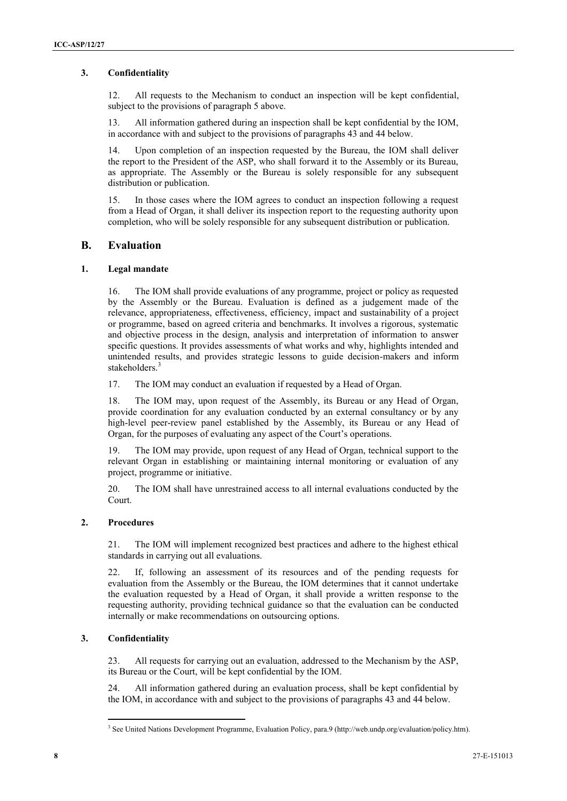### **3. Confidentiality**

12. All requests to the Mechanism to conduct an inspection will be kept confidential, subject to the provisions of paragraph 5 above.

13. All information gathered during an inspection shall be kept confidential by the IOM, in accordance with and subject to the provisions of paragraphs 43 and 44 below.

14. Upon completion of an inspection requested by the Bureau, the IOM shall deliver the report to the President of the ASP, who shall forward it to the Assembly or its Bureau, as appropriate. The Assembly or the Bureau is solely responsible for any subsequent distribution or publication.

15. In those cases where the IOM agrees to conduct an inspection following a request from a Head of Organ, it shall deliver its inspection report to the requesting authority upon completion, who will be solely responsible for any subsequent distribution or publication.

### **B. Evaluation**

### **1. Legal mandate**

16. The IOM shall provide evaluations of any programme, project or policy as requested by the Assembly or the Bureau. Evaluation is defined as a judgement made of the relevance, appropriateness, effectiveness, efficiency, impact and sustainability of a project or programme, based on agreed criteria and benchmarks. It involves a rigorous, systematic and objective process in the design, analysis and interpretation of information to answer specific questions. It provides assessments of what works and why, highlights intended and unintended results, and provides strategic lessons to guide decision-makers and inform stakeholders.<sup>3</sup>

17. The IOM may conduct an evaluation if requested by a Head of Organ.

18. The IOM may, upon request of the Assembly, its Bureau or any Head of Organ, provide coordination for any evaluation conducted by an external consultancy or by any high-level peer-review panel established by the Assembly, its Bureau or any Head of Organ, for the purposes of evaluating any aspect of the Court's operations.

19. The IOM may provide, upon request of any Head of Organ, technical support to the relevant Organ in establishing or maintaining internal monitoring or evaluation of any project, programme or initiative.

20. The IOM shall have unrestrained access to all internal evaluations conducted by the Court.

### **2. Procedures**

21. The IOM will implement recognized best practices and adhere to the highest ethical standards in carrying out all evaluations.

22. If, following an assessment of its resources and of the pending requests for evaluation from the Assembly or the Bureau, the IOM determines that it cannot undertake the evaluation requested by a Head of Organ, it shall provide a written response to the requesting authority, providing technical guidance so that the evaluation can be conducted internally or make recommendations on outsourcing options.

### **3. Confidentiality**

 $\overline{a}$ 

23. All requests for carrying out an evaluation, addressed to the Mechanism by the ASP, its Bureau or the Court, will be kept confidential by the IOM.

24. All information gathered during an evaluation process, shall be kept confidential by the IOM, in accordance with and subject to the provisions of paragraphs 43 and 44 below.

<sup>3</sup> See United Nations Development Programme, Evaluation Policy, para.9 (http://web.undp.org/evaluation/policy.htm).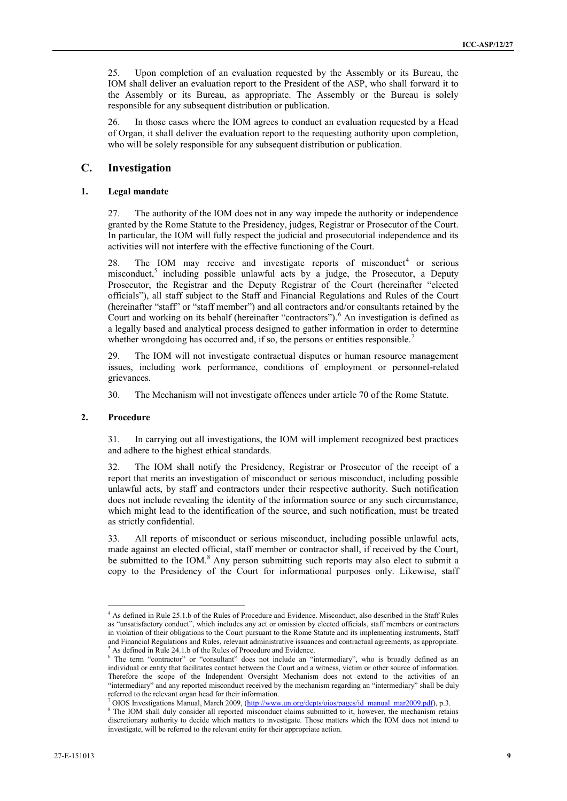25. Upon completion of an evaluation requested by the Assembly or its Bureau, the IOM shall deliver an evaluation report to the President of the ASP, who shall forward it to the Assembly or its Bureau, as appropriate. The Assembly or the Bureau is solely responsible for any subsequent distribution or publication.

26. In those cases where the IOM agrees to conduct an evaluation requested by a Head of Organ, it shall deliver the evaluation report to the requesting authority upon completion, who will be solely responsible for any subsequent distribution or publication.

### **C. Investigation**

### **1. Legal mandate**

27. The authority of the IOM does not in any way impede the authority or independence granted by the Rome Statute to the Presidency, judges, Registrar or Prosecutor of the Court. In particular, the IOM will fully respect the judicial and prosecutorial independence and its activities will not interfere with the effective functioning of the Court.

28. The IOM may receive and investigate reports of misconduct<sup>4</sup> or serious misconduct, 5 including possible unlawful acts by a judge, the Prosecutor, a Deputy Prosecutor, the Registrar and the Deputy Registrar of the Court (hereinafter "elected officials"), all staff subject to the Staff and Financial Regulations and Rules of the Court (hereinafter "staff" or "staff member") and all contractors and/or consultants retained by the Court and working on its behalf (hereinafter "contractors").<sup>6</sup> An investigation is defined as a legally based and analytical process designed to gather information in order to determine whether wrongdoing has occurred and, if so, the persons or entities responsible.<sup>7</sup>

29. The IOM will not investigate contractual disputes or human resource management issues, including work performance, conditions of employment or personnel-related grievances.

30. The Mechanism will not investigate offences under article 70 of the Rome Statute.

#### **2. Procedure**

 $\overline{a}$ 

31. In carrying out all investigations, the IOM will implement recognized best practices and adhere to the highest ethical standards.

32. The IOM shall notify the Presidency, Registrar or Prosecutor of the receipt of a report that merits an investigation of misconduct or serious misconduct, including possible unlawful acts, by staff and contractors under their respective authority. Such notification does not include revealing the identity of the information source or any such circumstance, which might lead to the identification of the source, and such notification, must be treated as strictly confidential.

33. All reports of misconduct or serious misconduct, including possible unlawful acts, made against an elected official, staff member or contractor shall, if received by the Court, be submitted to the IOM.<sup>8</sup> Any person submitting such reports may also elect to submit a copy to the Presidency of the Court for informational purposes only. Likewise, staff

<sup>4</sup> As defined in Rule 25.1.b of the Rules of Procedure and Evidence. Misconduct, also described in the Staff Rules as "unsatisfactory conduct", which includes any act or omission by elected officials, staff members or contractors in violation of their obligations to the Court pursuant to the Rome Statute and its implementing instruments, Staff and Financial Regulations and Rules, relevant administrative issuances and contractual agreements, as appropriate. <sup>5</sup> As defined in Rule 24.1.b of the Rules of Procedure and Evidence.

<sup>&</sup>lt;sup>6</sup> The term "contractor" or "consultant" does not include an "intermediary", who is broadly defined as an individual or entity that facilitates contact between the Court and a witness, victim or other source of information. Therefore the scope of the Independent Oversight Mechanism does not extend to the activities of an "intermediary" and any reported misconduct received by the mechanism regarding an "intermediary" shall be duly referred to the relevant organ head for their information.

<sup>7</sup> OIOS Investigations Manual, March 2009, [\(http://www.un.org/depts/oios/pages/id\\_manual\\_mar2009.pdf\)](http://www.un.org/depts/oios/pages/id_manual_mar2009.pdf), p.3.

<sup>&</sup>lt;sup>8</sup> The IOM shall duly consider all reported misconduct claims submitted to it, however, the mechanism retains discretionary authority to decide which matters to investigate. Those matters which the IOM does not intend to investigate, will be referred to the relevant entity for their appropriate action.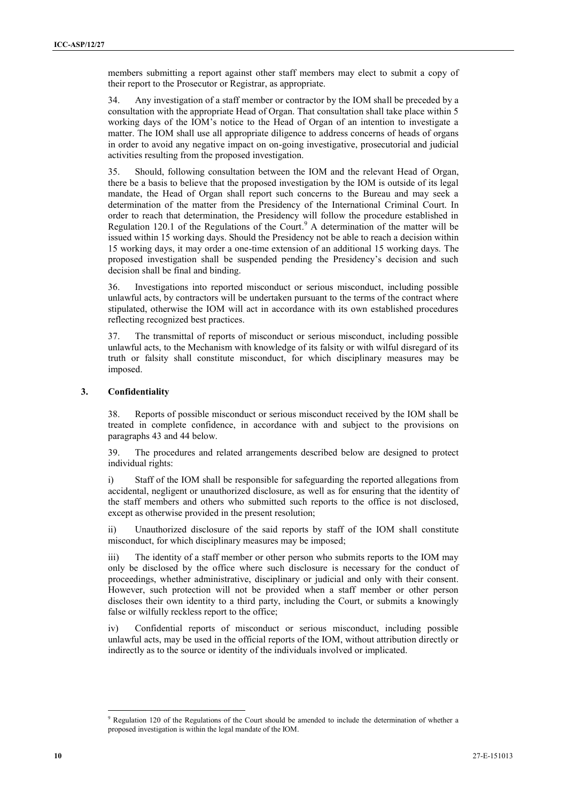members submitting a report against other staff members may elect to submit a copy of their report to the Prosecutor or Registrar, as appropriate.

34. Any investigation of a staff member or contractor by the IOM shall be preceded by a consultation with the appropriate Head of Organ. That consultation shall take place within 5 working days of the IOM's notice to the Head of Organ of an intention to investigate a matter. The IOM shall use all appropriate diligence to address concerns of heads of organs in order to avoid any negative impact on on-going investigative, prosecutorial and judicial activities resulting from the proposed investigation.

35. Should, following consultation between the IOM and the relevant Head of Organ, there be a basis to believe that the proposed investigation by the IOM is outside of its legal mandate, the Head of Organ shall report such concerns to the Bureau and may seek a determination of the matter from the Presidency of the International Criminal Court. In order to reach that determination, the Presidency will follow the procedure established in Regulation 120.1 of the Regulations of the Court.<sup>9</sup> A determination of the matter will be issued within 15 working days. Should the Presidency not be able to reach a decision within 15 working days, it may order a one-time extension of an additional 15 working days. The proposed investigation shall be suspended pending the Presidency's decision and such decision shall be final and binding.

36. Investigations into reported misconduct or serious misconduct, including possible unlawful acts, by contractors will be undertaken pursuant to the terms of the contract where stipulated, otherwise the IOM will act in accordance with its own established procedures reflecting recognized best practices.

37. The transmittal of reports of misconduct or serious misconduct, including possible unlawful acts, to the Mechanism with knowledge of its falsity or with wilful disregard of its truth or falsity shall constitute misconduct, for which disciplinary measures may be imposed.

#### **3. Confidentiality**

38. Reports of possible misconduct or serious misconduct received by the IOM shall be treated in complete confidence, in accordance with and subject to the provisions on paragraphs 43 and 44 below.

39. The procedures and related arrangements described below are designed to protect individual rights:

i) Staff of the IOM shall be responsible for safeguarding the reported allegations from accidental, negligent or unauthorized disclosure, as well as for ensuring that the identity of the staff members and others who submitted such reports to the office is not disclosed, except as otherwise provided in the present resolution;

ii) Unauthorized disclosure of the said reports by staff of the IOM shall constitute misconduct, for which disciplinary measures may be imposed;

iii) The identity of a staff member or other person who submits reports to the IOM may only be disclosed by the office where such disclosure is necessary for the conduct of proceedings, whether administrative, disciplinary or judicial and only with their consent. However, such protection will not be provided when a staff member or other person discloses their own identity to a third party, including the Court, or submits a knowingly false or wilfully reckless report to the office;

iv) Confidential reports of misconduct or serious misconduct, including possible unlawful acts, may be used in the official reports of the IOM, without attribution directly or indirectly as to the source or identity of the individuals involved or implicated.

<sup>9</sup> Regulation 120 of the Regulations of the Court should be amended to include the determination of whether a proposed investigation is within the legal mandate of the IOM.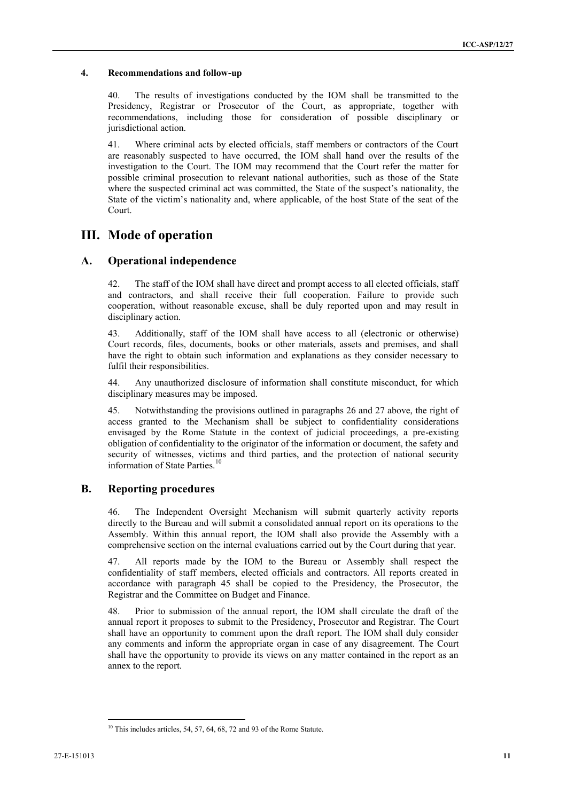#### **4. Recommendations and follow-up**

40. The results of investigations conducted by the IOM shall be transmitted to the Presidency, Registrar or Prosecutor of the Court, as appropriate, together with recommendations, including those for consideration of possible disciplinary or jurisdictional action.

41. Where criminal acts by elected officials, staff members or contractors of the Court are reasonably suspected to have occurred, the IOM shall hand over the results of the investigation to the Court. The IOM may recommend that the Court refer the matter for possible criminal prosecution to relevant national authorities, such as those of the State where the suspected criminal act was committed, the State of the suspect's nationality, the State of the victim's nationality and, where applicable, of the host State of the seat of the Court.

## **III. Mode of operation**

### **A. Operational independence**

42. The staff of the IOM shall have direct and prompt access to all elected officials, staff and contractors, and shall receive their full cooperation. Failure to provide such cooperation, without reasonable excuse, shall be duly reported upon and may result in disciplinary action.

43. Additionally, staff of the IOM shall have access to all (electronic or otherwise) Court records, files, documents, books or other materials, assets and premises, and shall have the right to obtain such information and explanations as they consider necessary to fulfil their responsibilities.

44. Any unauthorized disclosure of information shall constitute misconduct, for which disciplinary measures may be imposed.

45. Notwithstanding the provisions outlined in paragraphs 26 and 27 above, the right of access granted to the Mechanism shall be subject to confidentiality considerations envisaged by the Rome Statute in the context of judicial proceedings, a pre-existing obligation of confidentiality to the originator of the information or document, the safety and security of witnesses, victims and third parties, and the protection of national security information of State Parties.<sup>10</sup>

### **B. Reporting procedures**

46. The Independent Oversight Mechanism will submit quarterly activity reports directly to the Bureau and will submit a consolidated annual report on its operations to the Assembly. Within this annual report, the IOM shall also provide the Assembly with a comprehensive section on the internal evaluations carried out by the Court during that year.

47. All reports made by the IOM to the Bureau or Assembly shall respect the confidentiality of staff members, elected officials and contractors. All reports created in accordance with paragraph 45 shall be copied to the Presidency, the Prosecutor, the Registrar and the Committee on Budget and Finance.

48. Prior to submission of the annual report, the IOM shall circulate the draft of the annual report it proposes to submit to the Presidency, Prosecutor and Registrar. The Court shall have an opportunity to comment upon the draft report. The IOM shall duly consider any comments and inform the appropriate organ in case of any disagreement. The Court shall have the opportunity to provide its views on any matter contained in the report as an annex to the report.

 $10$  This includes articles, 54, 57, 64, 68, 72 and 93 of the Rome Statute.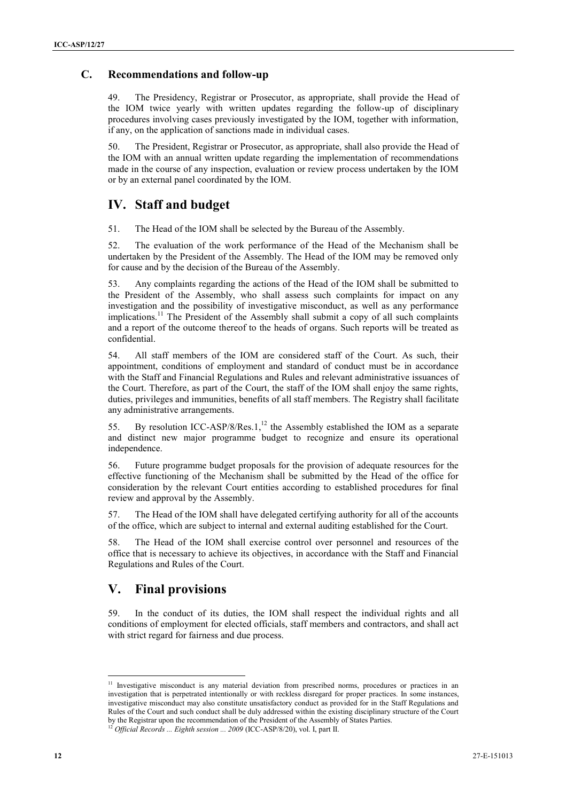### **C. Recommendations and follow-up**

49. The Presidency, Registrar or Prosecutor, as appropriate, shall provide the Head of the IOM twice yearly with written updates regarding the follow-up of disciplinary procedures involving cases previously investigated by the IOM, together with information, if any, on the application of sanctions made in individual cases.

50. The President, Registrar or Prosecutor, as appropriate, shall also provide the Head of the IOM with an annual written update regarding the implementation of recommendations made in the course of any inspection, evaluation or review process undertaken by the IOM or by an external panel coordinated by the IOM.

# **IV. Staff and budget**

51. The Head of the IOM shall be selected by the Bureau of the Assembly.

52. The evaluation of the work performance of the Head of the Mechanism shall be undertaken by the President of the Assembly. The Head of the IOM may be removed only for cause and by the decision of the Bureau of the Assembly.

53. Any complaints regarding the actions of the Head of the IOM shall be submitted to the President of the Assembly, who shall assess such complaints for impact on any investigation and the possibility of investigative misconduct, as well as any performance implications.<sup>11</sup> The President of the Assembly shall submit a copy of all such complaints and a report of the outcome thereof to the heads of organs. Such reports will be treated as confidential.

54. All staff members of the IOM are considered staff of the Court. As such, their appointment, conditions of employment and standard of conduct must be in accordance with the Staff and Financial Regulations and Rules and relevant administrative issuances of the Court. Therefore, as part of the Court, the staff of the IOM shall enjoy the same rights, duties, privileges and immunities, benefits of all staff members. The Registry shall facilitate any administrative arrangements.

55. By resolution ICC-ASP/8/Res.1,<sup>12</sup> the Assembly established the IOM as a separate and distinct new major programme budget to recognize and ensure its operational independence.

56. Future programme budget proposals for the provision of adequate resources for the effective functioning of the Mechanism shall be submitted by the Head of the office for consideration by the relevant Court entities according to established procedures for final review and approval by the Assembly.

57. The Head of the IOM shall have delegated certifying authority for all of the accounts of the office, which are subject to internal and external auditing established for the Court.

58. The Head of the IOM shall exercise control over personnel and resources of the office that is necessary to achieve its objectives, in accordance with the Staff and Financial Regulations and Rules of the Court.

# **V. Final provisions**

59. In the conduct of its duties, the IOM shall respect the individual rights and all conditions of employment for elected officials, staff members and contractors, and shall act with strict regard for fairness and due process.

<sup>&</sup>lt;sup>11</sup> Investigative misconduct is any material deviation from prescribed norms, procedures or practices in an investigation that is perpetrated intentionally or with reckless disregard for proper practices. In some instances, investigative misconduct may also constitute unsatisfactory conduct as provided for in the Staff Regulations and Rules of the Court and such conduct shall be duly addressed within the existing disciplinary structure of the Court by the Registrar upon the recommendation of the President of the Assembly of States Parties.

<sup>12</sup> *Official Records ... Eighth session ... 2009* (ICC-ASP/8/20), vol. I, part II.